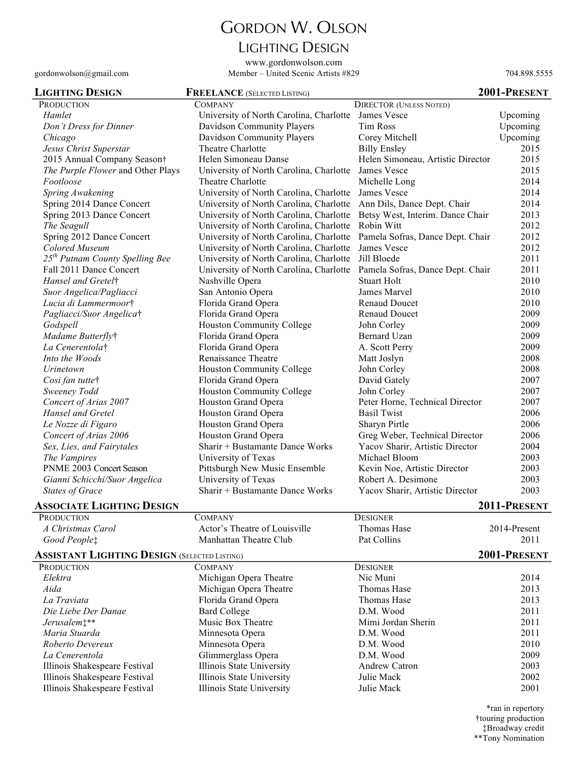# GORDON W. OLSON

## LIGHTING DESIGN

www.gordonwolson.com gordonwolson@gmail.com Member – United Scenic Artists #829 704.898.5555

| <b>LIGHTING DESIGN</b>                              | <b>FREELANCE</b> (SELECTED LISTING)     |                                   | 2001-PRESENT |
|-----------------------------------------------------|-----------------------------------------|-----------------------------------|--------------|
| <b>PRODUCTION</b>                                   | <b>COMPANY</b>                          | <b>DIRECTOR (UNLESS NOTED)</b>    |              |
| Hamlet                                              | University of North Carolina, Charlotte | James Vesce                       | Upcoming     |
| Don't Dress for Dinner                              | Davidson Community Players              | <b>Tim Ross</b>                   | Upcoming     |
| Chicago                                             | Davidson Community Players              | Corey Mitchell                    | Upcoming     |
| Jesus Christ Superstar                              | Theatre Charlotte                       | <b>Billy Ensley</b>               | 2015         |
| 2015 Annual Company Season†                         | Helen Simoneau Danse                    | Helen Simoneau, Artistic Director | 2015         |
| The Purple Flower and Other Plays                   | University of North Carolina, Charlotte | James Vesce                       | 2015         |
| Footloose                                           | Theatre Charlotte                       | Michelle Long                     | 2014         |
| Spring Awakening                                    | University of North Carolina, Charlotte | James Vesce                       | 2014         |
| Spring 2014 Dance Concert                           | University of North Carolina, Charlotte | Ann Dils, Dance Dept. Chair       | 2014         |
| Spring 2013 Dance Concert                           | University of North Carolina, Charlotte | Betsy West, Interim. Dance Chair  | 2013         |
| The Seagull                                         | University of North Carolina, Charlotte | Robin Witt                        | 2012         |
| Spring 2012 Dance Concert                           | University of North Carolina, Charlotte | Pamela Sofras, Dance Dept. Chair  | 2012         |
| Colored Museum                                      | University of North Carolina, Charlotte | James Vesce                       | 2012         |
| 25 <sup>th</sup> Putnam County Spelling Bee         | University of North Carolina, Charlotte | Jill Bloede                       | 2011         |
| Fall 2011 Dance Concert                             | University of North Carolina, Charlotte | Pamela Sofras, Dance Dept. Chair  | 2011         |
| Hansel and Gretel <sup>†</sup>                      | Nashville Opera                         | <b>Stuart Holt</b>                | 2010         |
| Suor Angelica/Pagliacci                             | San Antonio Opera                       | James Marvel                      | 2010         |
| Lucia di Lammermoort                                | Florida Grand Opera                     | Renaud Doucet                     | 2010         |
| Pagliacci/Suor Angelica <sup>†</sup>                | Florida Grand Opera                     | <b>Renaud Doucet</b>              | 2009         |
| Godspell                                            | <b>Houston Community College</b>        | John Corley                       | 2009         |
| Madame Butterflyt                                   | Florida Grand Opera                     | Bernard Uzan                      | 2009         |
| La Cenerentola <sup>†</sup>                         | Florida Grand Opera                     | A. Scott Perry                    | 2009         |
| Into the Woods                                      | Renaissance Theatre                     | Matt Joslyn                       | 2008         |
| Urinetown                                           | <b>Houston Community College</b>        | John Corley                       | 2008         |
| Cosi fan tutte†                                     | Florida Grand Opera                     | David Gately                      | 2007         |
| Sweeney Todd                                        | <b>Houston Community College</b>        | John Corley                       | 2007         |
| Concert of Arias 2007                               | Houston Grand Opera                     | Peter Horne, Technical Director   | 2007         |
| Hansel and Gretel                                   | Houston Grand Opera                     | <b>Basil Twist</b>                | 2006         |
| Le Nozze di Figaro                                  | Houston Grand Opera                     | Sharyn Pirtle                     | 2006         |
| Concert of Arias 2006                               | Houston Grand Opera                     | Greg Weber, Technical Director    | 2006         |
| Sex, Lies, and Fairytales                           | Sharir + Bustamante Dance Works         | Yacov Sharir, Artistic Director   | 2004         |
| The Vampires                                        | University of Texas                     | Michael Bloom                     | 2003         |
| PNME 2003 Concert Season                            | Pittsburgh New Music Ensemble           | Kevin Noe, Artistic Director      | 2003         |
| Gianni Schicchi/Suor Angelica                       | University of Texas                     | Robert A. Desimone                | 2003         |
| <b>States of Grace</b>                              | Sharir + Bustamante Dance Works         | Yacov Sharir, Artistic Director   | 2003         |
| <b>ASSOCIATE LIGHTING DESIGN</b>                    |                                         |                                   | 2011-PRESENT |
| <b>PRODUCTION</b>                                   | <b>COMPANY</b>                          | <b>DESIGNER</b>                   |              |
| A Christmas Carol                                   | Actor's Theatre of Louisville           | Thomas Hase                       | 2014-Present |
| Good Peoplet                                        | Manhattan Theatre Club                  | Pat Collins                       | 2011         |
| <b>ASSISTANT LIGHTING DESIGN (SELECTED LISTING)</b> |                                         |                                   | 2001-PRESENT |
| <b>PRODUCTION</b>                                   | $C$ <b>OMDANIV</b>                      | <b>DESIGNED</b>                   |              |

| <b>PRODUCTION</b>             | <b>COMPANY</b>            | <b>DESIGNER</b>    |      |
|-------------------------------|---------------------------|--------------------|------|
| Elektra                       | Michigan Opera Theatre    | Nic Muni           | 2014 |
| Aida                          | Michigan Opera Theatre    | Thomas Hase        | 2013 |
| La Traviata                   | Florida Grand Opera       | Thomas Hase        | 2013 |
| Die Liebe Der Danae           | <b>Bard College</b>       | D.M. Wood          | 2011 |
| Jerusalem <sub>1</sub> **     | Music Box Theatre         | Mimi Jordan Sherin | 2011 |
| Maria Stuarda                 | Minnesota Opera           | D.M. Wood          | 2011 |
| Roberto Devereux              | Minnesota Opera           | D.M. Wood          | 2010 |
| La Cenerentola                | Glimmerglass Opera        | D.M. Wood          | 2009 |
| Illinois Shakespeare Festival | Illinois State University | Andrew Catron      | 2003 |
| Illinois Shakespeare Festival | Illinois State University | Julie Mack         | 2002 |
| Illinois Shakespeare Festival | Illinois State University | Julie Mack         | 2001 |
|                               |                           |                    |      |

\*ran in repertory †touring production ‡Broadway credit \*\*Tony Nomination